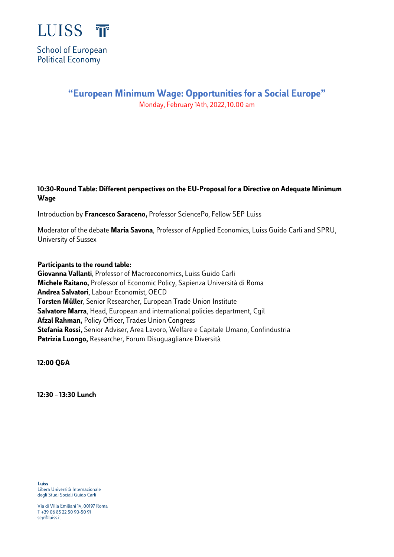

# **"European Minimum Wage: Opportunities for a Social Europe"** Monday, February 14th, 2022, 10.00 am

## **10:30-Round Table: Different perspectives on the EU-Proposal for a Directive on Adequate Minimum Wage**

Introduction by **Francesco Saraceno,** Professor SciencePo, Fellow SEP Luiss

Moderator of the debate **Maria Savona**, Professor of Applied Economics, Luiss Guido Carli and SPRU, University of Sussex

#### **Participants to the round table:**

**Giovanna Vallanti**, Professor of Macroeconomics, Luiss Guido Carli **Michele Raitano,** Professor of Economic Policy, Sapienza Università di Roma **Andrea Salvatori**, Labour Economist, OECD **Torsten Müller**, Senior Researcher, European Trade Union Institute **Salvatore Marra**, Head, European and international policies department, Cgil **Afzal Rahman,** Policy Officer, Trades Union Congress **Stefania Rossi,** Senior Adviser, Area Lavoro, Welfare e Capitale Umano, Confindustria **Patrizia Luongo,** Researcher, Forum Disuguaglianze Diversità

**12:00 Q&A**

**12:30 –13:30 Lunch**

**Luiss** Libera Università Internazionale degli Studi Sociali Guido Carli

Via di Villa Emiliani 14, 00197 Roma T +39 06 85 22 50 90-50 91 sep@luiss.it